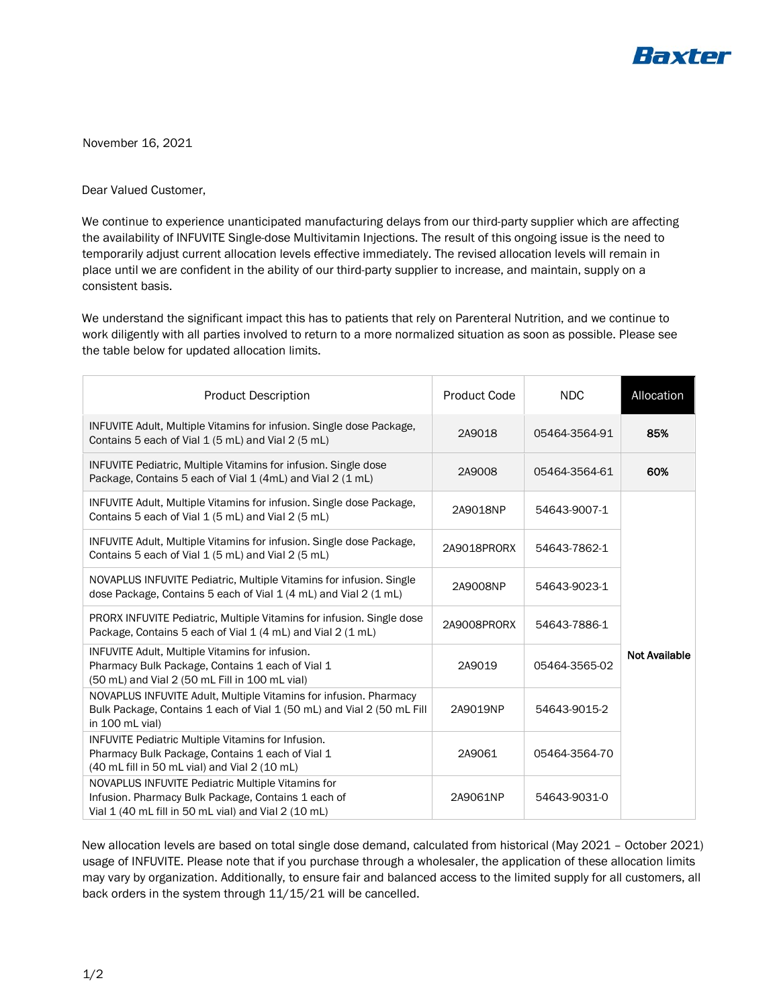

November 16, 2021

Dear Valued Customer,

We continue to experience unanticipated manufacturing delays from our third-party supplier which are affecting the availability of INFUVITE Single-dose Multivitamin Injections. The result of this ongoing issue is the need to temporarily adjust current allocation levels effective immediately. The revised allocation levels will remain in place until we are confident in the ability of our third-party supplier to increase, and maintain, supply on a consistent basis.

We understand the significant impact this has to patients that rely on Parenteral Nutrition, and we continue to work diligently with all parties involved to return to a more normalized situation as soon as possible. Please see the table below for updated allocation limits.

| <b>Product Description</b>                                                                                                                                       | Product Code | <b>NDC</b>    | Allocation           |
|------------------------------------------------------------------------------------------------------------------------------------------------------------------|--------------|---------------|----------------------|
| INFUVITE Adult, Multiple Vitamins for infusion. Single dose Package,<br>Contains 5 each of Vial 1 (5 mL) and Vial 2 (5 mL)                                       | 2A9018       | 05464-3564-91 | 85%                  |
| <b>INFUVITE Pediatric, Multiple Vitamins for infusion. Single dose</b><br>Package, Contains 5 each of Vial 1 (4mL) and Vial 2 (1 mL)                             | 2A9008       | 05464-3564-61 | 60%                  |
| INFUVITE Adult, Multiple Vitamins for infusion. Single dose Package,<br>Contains 5 each of Vial 1 (5 mL) and Vial 2 (5 mL)                                       | 2A9018NP     | 54643-9007-1  |                      |
| INFUVITE Adult, Multiple Vitamins for infusion. Single dose Package,<br>Contains 5 each of Vial 1 (5 mL) and Vial 2 (5 mL)                                       | 2A9018PRORX  | 54643-7862-1  |                      |
| NOVAPLUS INFUVITE Pediatric, Multiple Vitamins for infusion. Single<br>dose Package, Contains 5 each of Vial 1 (4 mL) and Vial 2 (1 mL)                          | 2A9008NP     | 54643-9023-1  |                      |
| PRORX INFUVITE Pediatric, Multiple Vitamins for infusion. Single dose<br>Package, Contains 5 each of Vial 1 (4 mL) and Vial 2 (1 mL)                             | 2A9008PRORX  | 54643-7886-1  |                      |
| <b>INFUVITE Adult, Multiple Vitamins for infusion.</b><br>Pharmacy Bulk Package, Contains 1 each of Vial 1<br>(50 mL) and Vial 2 (50 mL Fill in 100 mL vial)     | 2A9019       | 05464-3565-02 | <b>Not Available</b> |
| NOVAPLUS INFUVITE Adult, Multiple Vitamins for infusion. Pharmacy<br>Bulk Package, Contains 1 each of Vial 1 (50 mL) and Vial 2 (50 mL Fill<br>in 100 mL vial)   | 2A9019NP     | 54643-9015-2  |                      |
| INFUVITE Pediatric Multiple Vitamins for Infusion.<br>Pharmacy Bulk Package, Contains 1 each of Vial 1<br>(40 mL fill in 50 mL vial) and Vial 2 (10 mL)          | 2A9061       | 05464-3564-70 |                      |
| NOVAPLUS INFUVITE Pediatric Multiple Vitamins for<br>Infusion. Pharmacy Bulk Package, Contains 1 each of<br>Vial 1 (40 mL fill in 50 mL vial) and Vial 2 (10 mL) | 2A9061NP     | 54643-9031-0  |                      |

New allocation levels are based on total single dose demand, calculated from historical (May 2021 – October 2021) usage of INFUVITE. Please note that if you purchase through a wholesaler, the application of these allocation limits may vary by organization. Additionally, to ensure fair and balanced access to the limited supply for all customers, all back orders in the system through 11/15/21 will be cancelled.